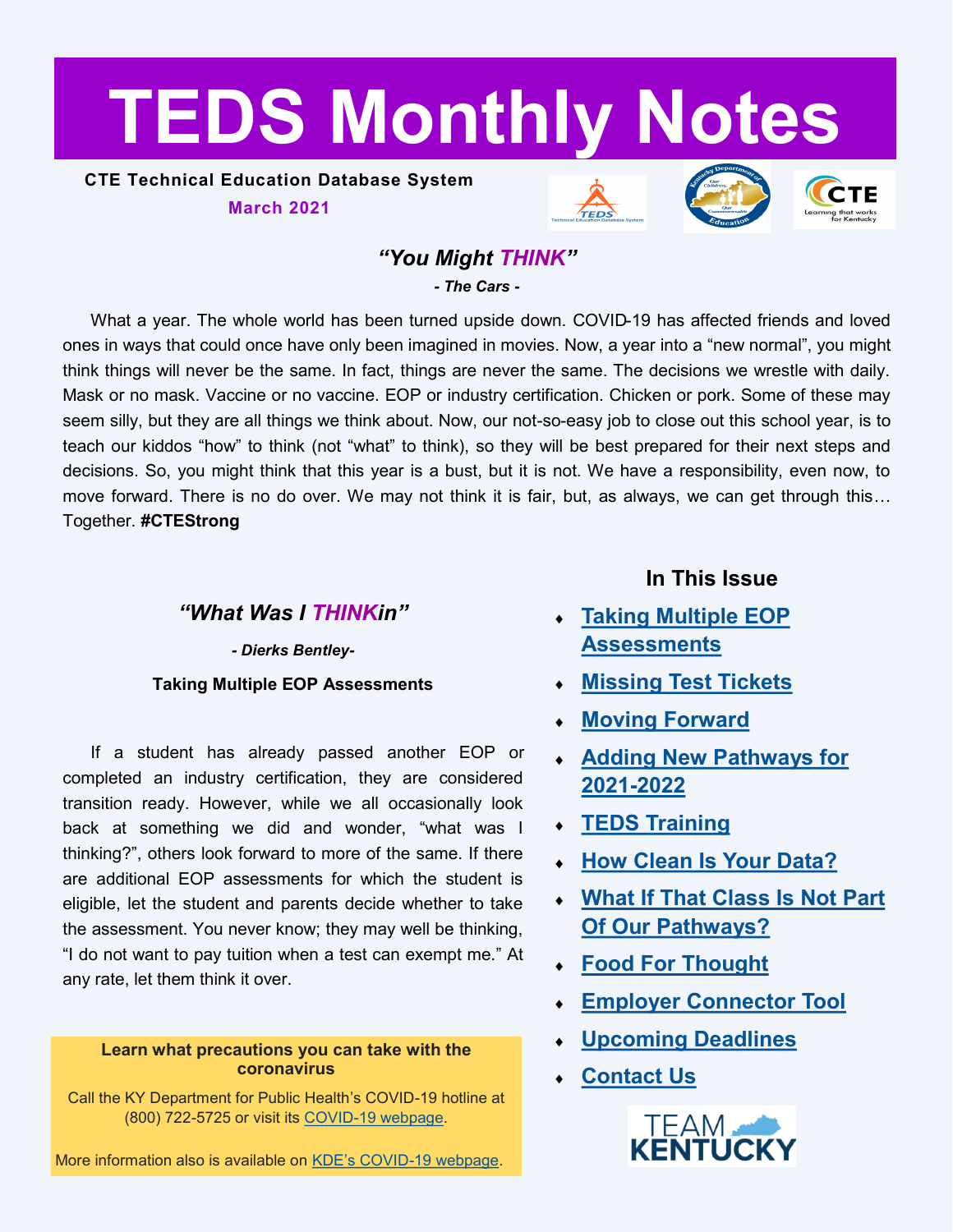# <span id="page-0-0"></span>**TEDS Monthly Notes**

**CTE Technical Education Database System March 2021**







# *"You Might THINK"*

*- The Cars -*

What a year. The whole world has been turned upside down. COVID-19 has affected friends and loved ones in ways that could once have only been imagined in movies. Now, a year into a "new normal", you might think things will never be the same. In fact, things are never the same. The decisions we wrestle with daily. Mask or no mask. Vaccine or no vaccine. EOP or industry certification. Chicken or pork. Some of these may seem silly, but they are all things we think about. Now, our not-so-easy job to close out this school year, is to teach our kiddos "how" to think (not "what" to think), so they will be best prepared for their next steps and decisions. So, you might think that this year is a bust, but it is not. We have a responsibility, even now, to move forward. There is no do over. We may not think it is fair, but, as always, we can get through this… Together. **#CTEStrong**

## *"What Was I THINKin"*

*- Dierks Bentley-***Taking Multiple EOP Assessments**

If a student has already passed another EOP or completed an industry certification, they are considered transition ready. However, while we all occasionally look back at something we did and wonder, "what was I thinking?", others look forward to more of the same. If there are additional EOP assessments for which the student is eligible, let the student and parents decide whether to take the assessment. You never know; they may well be thinking, "I do not want to pay tuition when a test can exempt me." At any rate, let them think it over.

#### **Learn what precautions you can take with the coronavirus**

Call the KY Department for Public Health's COVID-19 hotline at (800) 722-5725 or visit its COVID-[19 webpage.](https://chfs.ky.gov/agencies/dph/pages/covid19.aspx)

More information also is available on KDE's COVID-[19 webpage.](https://education.ky.gov/comm/Pages/COVID-19-Updates.aspx)

# **In This Issue**

- **[Taking Multiple EOP](#page-0-0)  [Assessments](#page-0-0)**
- **[Missing Test Tickets](#page-1-0)**
- **[Moving Forward](#page-1-0)**
- **[Adding New Pathways for](#page-1-0)  2021-[2022](#page-1-0)**
- **[TEDS Training](#page-2-0)**
- **[How Clean Is Your Data?](#page-2-0)**
- **[What If That Class Is Not Part](#page-3-0)  [Of Our Pathways?](#page-3-0)**
- **[Food For Thought](#page-3-0)**
- **[Employer Connector Tool](#page-4-0)**
- **[Upcoming Deadlines](#page-4-0)**
- **[Contact Us](#page-4-0)**

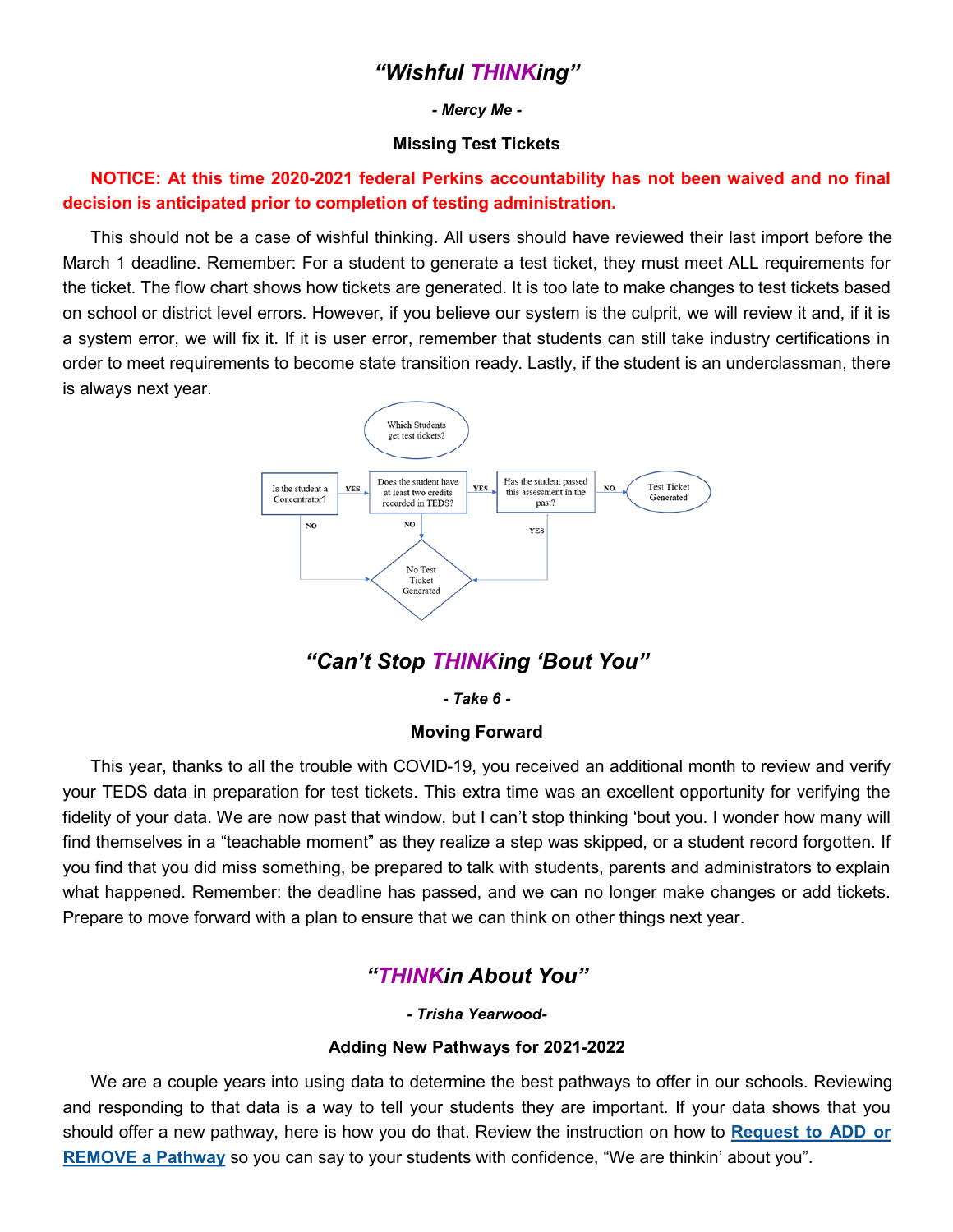## *"Wishful THINKing"*

#### *- Mercy Me -*

#### **Missing Test Tickets**

<span id="page-1-0"></span>**NOTICE: At this time 2020-2021 federal Perkins accountability has not been waived and no final decision is anticipated prior to completion of testing administration.**

This should not be a case of wishful thinking. All users should have reviewed their last import before the March 1 deadline. Remember: For a student to generate a test ticket, they must meet ALL requirements for the ticket. The flow chart shows how tickets are generated. It is too late to make changes to test tickets based on school or district level errors. However, if you believe our system is the culprit, we will review it and, if it is a system error, we will fix it. If it is user error, remember that students can still take industry certifications in order to meet requirements to become state transition ready. Lastly, if the student is an underclassman, there is always next year.



# *"Can't Stop THINKing 'Bout You"*

*- Take 6 -*

#### **Moving Forward**

This year, thanks to all the trouble with COVID-19, you received an additional month to review and verify your TEDS data in preparation for test tickets. This extra time was an excellent opportunity for verifying the fidelity of your data. We are now past that window, but I can't stop thinking 'bout you. I wonder how many will find themselves in a "teachable moment" as they realize a step was skipped, or a student record forgotten. If you find that you did miss something, be prepared to talk with students, parents and administrators to explain what happened. Remember: the deadline has passed, and we can no longer make changes or add tickets. Prepare to move forward with a plan to ensure that we can think on other things next year.

## *"THINKin About You"*

*- Trisha Yearwood-*

#### **Adding New Pathways for 2021-2022**

We are a couple years into using data to determine the best pathways to offer in our schools. Reviewing and responding to that data is a way to tell your students they are important. If your data shows that you should offer a new pathway, here is how you do that. Review the instruction on how to **[Request to ADD or](https://education.ky.gov/CTE/teds/Documents/Add-Remove_Existing_Pathway_in_TEDS.pdf)  [REMOVE a Pathway](https://education.ky.gov/CTE/teds/Documents/Add-Remove_Existing_Pathway_in_TEDS.pdf)** so you can say to your students with confidence, "We are thinkin' about you".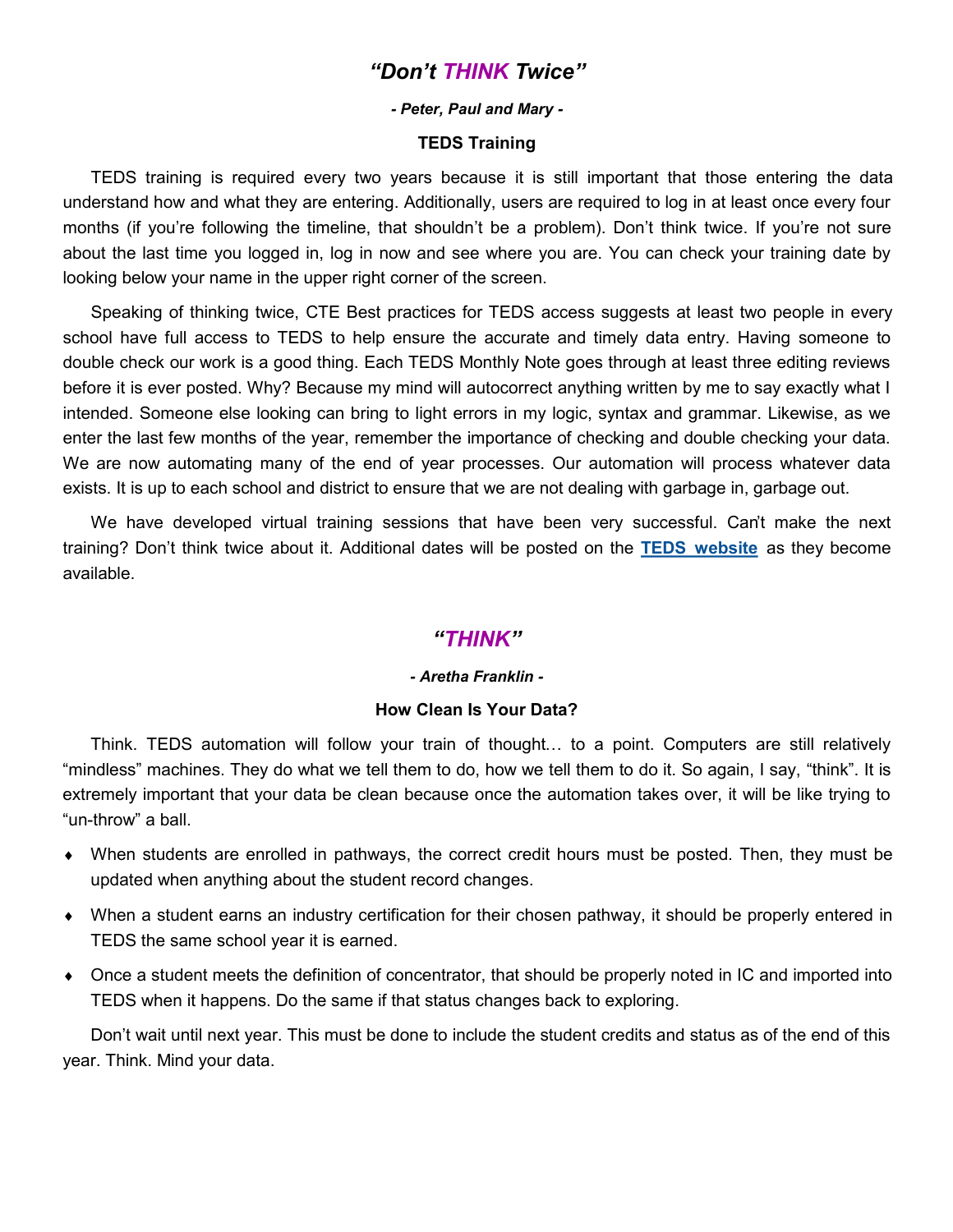## *"Don't THINK Twice"*

#### *- Peter, Paul and Mary -*

#### **TEDS Training**

<span id="page-2-0"></span>TEDS training is required every two years because it is still important that those entering the data understand how and what they are entering. Additionally, users are required to log in at least once every four months (if you're following the timeline, that shouldn't be a problem). Don't think twice. If you're not sure about the last time you logged in, log in now and see where you are. You can check your training date by looking below your name in the upper right corner of the screen.

Speaking of thinking twice, CTE Best practices for TEDS access suggests at least two people in every school have full access to TEDS to help ensure the accurate and timely data entry. Having someone to double check our work is a good thing. Each TEDS Monthly Note goes through at least three editing reviews before it is ever posted. Why? Because my mind will autocorrect anything written by me to say exactly what I intended. Someone else looking can bring to light errors in my logic, syntax and grammar. Likewise, as we enter the last few months of the year, remember the importance of checking and double checking your data. We are now automating many of the end of year processes. Our automation will process whatever data exists. It is up to each school and district to ensure that we are not dealing with garbage in, garbage out.

We have developed virtual training sessions that have been very successful. Can't make the next training? Don't think twice about it. Additional dates will be posted on the **[TEDS website](https://education.ky.gov/CTE/teds/Pages/default.aspx)** as they become available.

#### *"THINK"*

#### *- Aretha Franklin -*

#### **How Clean Is Your Data?**

Think. TEDS automation will follow your train of thought… to a point. Computers are still relatively "mindless" machines. They do what we tell them to do, how we tell them to do it. So again, I say, "think". It is extremely important that your data be clean because once the automation takes over, it will be like trying to "un-throw" a ball.

- When students are enrolled in pathways, the correct credit hours must be posted. Then, they must be updated when anything about the student record changes.
- When a student earns an industry certification for their chosen pathway, it should be properly entered in TEDS the same school year it is earned.
- Once a student meets the definition of concentrator, that should be properly noted in IC and imported into TEDS when it happens. Do the same if that status changes back to exploring.

Don't wait until next year. This must be done to include the student credits and status as of the end of this year. Think. Mind your data.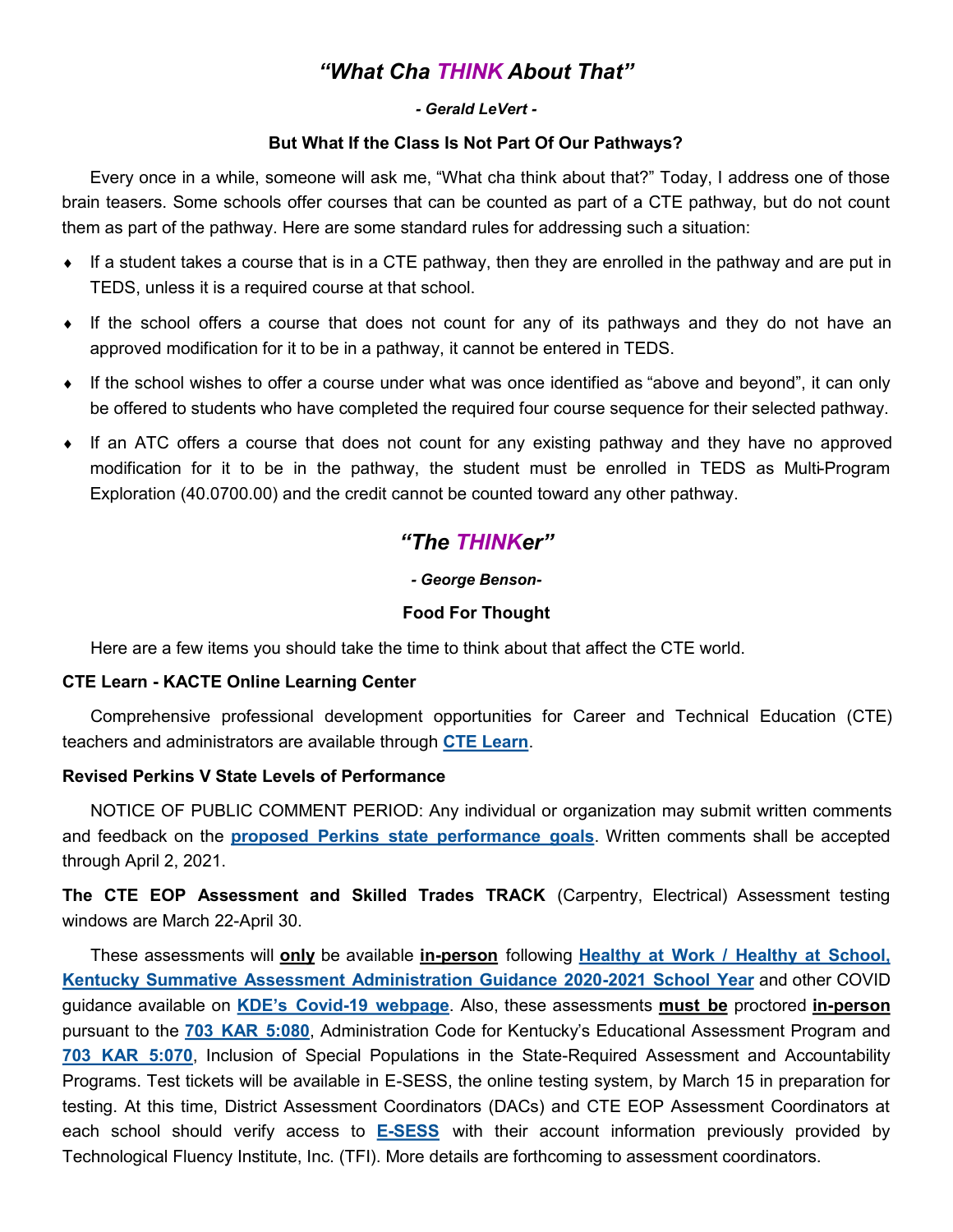# *"What Cha THINK About That"*

#### *- Gerald LeVert -*

#### **But What If the Class Is Not Part Of Our Pathways?**

<span id="page-3-0"></span>Every once in a while, someone will ask me, "What cha think about that?" Today, I address one of those brain teasers. Some schools offer courses that can be counted as part of a CTE pathway, but do not count them as part of the pathway. Here are some standard rules for addressing such a situation:

- $\bullet$  If a student takes a course that is in a CTE pathway, then they are enrolled in the pathway and are put in TEDS, unless it is a required course at that school.
- If the school offers a course that does not count for any of its pathways and they do not have an approved modification for it to be in a pathway, it cannot be entered in TEDS.
- If the school wishes to offer a course under what was once identified as "above and beyond", it can only be offered to students who have completed the required four course sequence for their selected pathway.
- If an ATC offers a course that does not count for any existing pathway and they have no approved modification for it to be in the pathway, the student must be enrolled in TEDS as Multi-Program Exploration (40.0700.00) and the credit cannot be counted toward any other pathway.

# *"The THINKer"*

#### *- George Benson-*

#### **Food For Thought**

Here are a few items you should take the time to think about that affect the CTE world.

#### **CTE Learn - KACTE Online Learning Center**

Comprehensive professional development opportunities for Career and Technical Education (CTE) teachers and administrators are available through **[CTE Learn](https://ky.ctelearn.org/)**.

#### **Revised Perkins V State Levels of Performance**

NOTICE OF PUBLIC COMMENT PERIOD: Any individual or organization may submit written comments and feedback on the **[proposed Perkins state performance goals](https://education.ky.gov/CTE/perkins/Documents/Revised_Perkins_V_State_Level-of-Performance.pdf)**. Written comments shall be accepted through April 2, 2021.

**The CTE EOP Assessment and Skilled Trades TRACK** (Carpentry, Electrical) Assessment testing windows are March 22-April 30.

These assessments will **only** be available **in-person** following **[Healthy at Work / Healthy at School,](https://education.ky.gov/AA/Assessments/Documents/2020-2021%20Assessment%20Guidance%20Document.pdf)  [Kentucky Summative Assessment Administration Guidance 2020](https://education.ky.gov/AA/Assessments/Documents/2020-2021%20Assessment%20Guidance%20Document.pdf)-2021 School Year** and other COVID guidance available on **KDE's Covid-[19 webpage](https://education.ky.gov/comm/Pages/COVID-19-Updates.aspx)**. Also, these assessments **must be** proctored **in-person** pursuant to the **[703 KAR 5:080](https://education.ky.gov/AA/distsupp/Documents/703%20KAR%205080%20Final.pdf)**, Administration Code for Kentucky's Educational Assessment Program and **[703 KAR 5:070](https://education.ky.gov/AA/distsupp/Documents/703%20KAR%205070%20Dec%202016.pdf)**, Inclusion of Special Populations in the State-Required Assessment and Accountability Programs. Test tickets will be available in E-SESS, the online testing system, by March 15 in preparation for testing. At this time, District Assessment Coordinators (DACs) and CTE EOP Assessment Coordinators at each school should verify access to **E-[SESS](https://www.techfluency.org/esess/Admin/)** with their account information previously provided by Technological Fluency Institute, Inc. (TFI). More details are forthcoming to assessment coordinators.